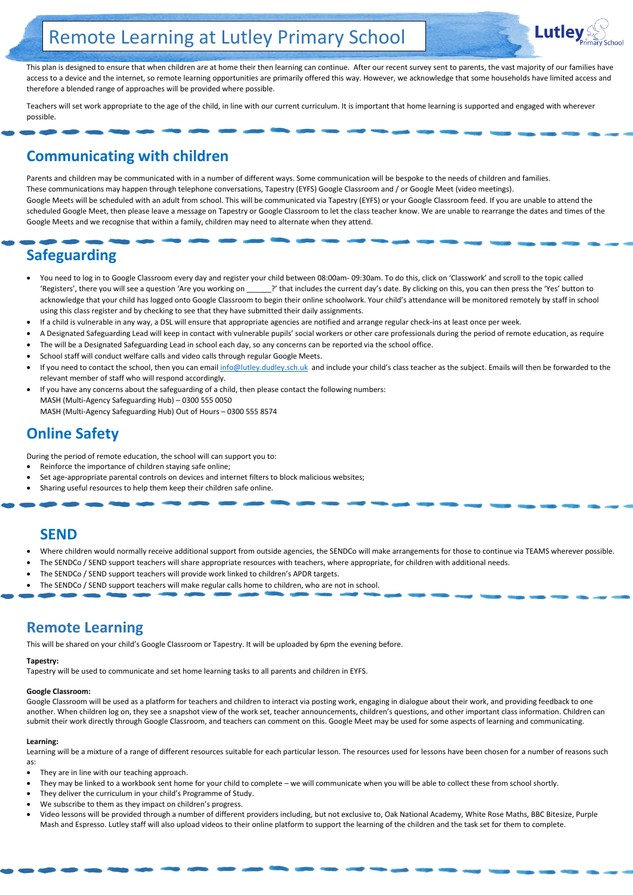This plan is designed to ensure that when children are at home their then learning can continue. After our recent survey sent to parents, the vast majority of our families have access to a device and the internet, so remote learning opportunities are primarily offered this way. However, we acknowledge that some households have limited access and therefore a blended range of approaches will be provided where possible.

Teachers will set work appropriate to the age of the child, in line with our current curriculum. It is important that home learning is supported and engaged with wherever possible.

## **Communicating with children**

Parents and children may be communicated with in a number of different ways. Some communication will be bespoke to the needs of children and families. These communications may happen through telephone conversations, Tapestry (EYFS) Google Classroom and / or Google Meet (video meetings). Google Meets will be scheduled with an adult from school. This will be communicated via Tapestry (EYFS) or your Google Classroom feed. If you are unable to attend the scheduled Google Meet, then please leave a message on Tapestry or Google Classroom to let the class teacher know. We are unable to rearrange the dates and times of the Google Meets and we recognise that within a family, children may need to alternate when they attend.

# **Safeguarding**

- You need to log in to Google Classroom every day and register your child between 08:00am- 09:30am. To do this, click on 'Classwork' and scroll to the topic called 'Registers', there you will see a question 'Are you working on \_\_\_\_\_?' that includes the current day's date. By clicking on this, you can then press the 'Yes' button to acknowledge that your child has logged onto Google Classroom to begin their online schoolwork. Your child's attendance will be monitored remotely by staff in school using this class register and by checking to see that they have submitted their daily assignments.
- If a child is vulnerable in any way, a DSL will ensure that appropriate agencies are notified and arrange regular check-ins at least once per week.
- A Designated Safeguarding Lead will keep in contact with vulnerable pupils' social workers or other care professionals during the period of remote education, as require
- The will be a Designated Safeguarding Lead in school each day, so any concerns can be reported via the school office.
- School staff will conduct welfare calls and video calls through regular Google Meets.
- If you need to contact the school, then you can email [info@lutley.dudley.sch.uk](mailto:info@lutley.dudley.sch.uk) and include your child's class teacher as the subject. Emails will then be forwarded to the relevant member of staff who will respond accordingly.
- If you have any concerns about the safeguarding of a child, then please contact the following numbers: MASH (Multi-Agency Safeguarding Hub) – 0300 555 0050 MASH (Multi-Agency Safeguarding Hub) Out of Hours – 0300 555 8574

- They are in line with our teaching approach.
- They may be linked to a workbook sent home for your child to complete we will communicate when you will be able to collect these from school shortly.
- They deliver the curriculum in your child's Programme of Study.
- We subscribe to them as they impact on children's progress.
- Video lessons will be provided through a number of different providers including, but not exclusive to, Oak National Academy, White Rose Maths, BBC Bitesize, Purple Mash and Espresso. Lutley staff will also upload videos to their online platform to support the learning of the children and the task set for them to complete.



# **Online Safety**

During the period of remote education, the school will can support you to:

- Reinforce the importance of children staying safe online;
- Set age-appropriate parental controls on devices and internet filters to block malicious websites;
- Sharing useful resources to help them keep their children safe online.

## **SEND**

- Where children would normally receive additional support from outside agencies, the SENDCo will make arrangements for those to continue via TEAMS wherever possible.
- The SENDCo / SEND support teachers will share appropriate resources with teachers, where appropriate, for children with additional needs.
- The SENDCo / SEND support teachers will provide work linked to children's APDR targets.
- The SENDCo / SEND support teachers will make regular calls home to children, who are not in school.

## **Remote Learning**

This will be shared on your child's Google Classroom or Tapestry. It will be uploaded by 6pm the evening before.

## **Tapestry:**

Tapestry will be used to communicate and set home learning tasks to all parents and children in EYFS.

#### **Google Classroom:**

Google Classroom will be used as a platform for teachers and children to interact via posting work, engaging in dialogue about their work, and providing feedback to one another. When children log on, they see a snapshot view of the work set, teacher announcements, children's questions, and other important class information. Children can submit their work directly through Google Classroom, and teachers can comment on this. Google Meet may be used for some aspects of learning and communicating.

#### **Learning:**

Learning will be a mixture of a range of different resources suitable for each particular lesson. The resources used for lessons have been chosen for a number of reasons such as:

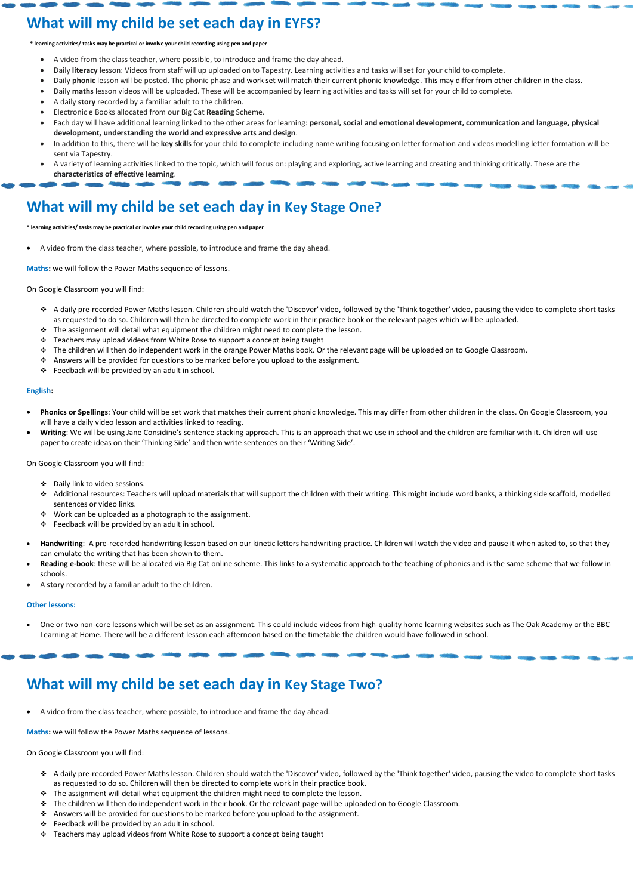# **What will my child be set each day in EYFS?**

**\* learning activities/ tasks may be practical or involve your child recording using pen and paper** 

- A video from the class teacher, where possible, to introduce and frame the day ahead.
- Daily **literacy** lesson: Videos from staff will up uploaded on to Tapestry. Learning activities and tasks will set for your child to complete.
- Daily **phonic** lesson will be posted. The phonic phase and work set will match their current phonic knowledge. This may differ from other children in the class.
- Daily **maths** lesson videos will be uploaded. These will be accompanied by learning activities and tasks will set for your child to complete.
- A daily **story** recorded by a familiar adult to the children.
- Electronic e Books allocated from our Big Cat **Reading** Scheme.
- Each day will have additional learning linked to the other areas for learning: **personal, social and emotional development, communication and language, physical development, understanding the world and expressive arts and design**.
- In addition to this, there will be **key skills** for your child to complete including name writing focusing on letter formation and videos modelling letter formation will be sent via Tapestry.
- A variety of learning activities linked to the topic, which will focus on: playing and exploring, active learning and creating and thinking critically. These are the **characteristics of effective learning**.

# **What will my child be set each day in Key Stage One?**

**\* learning activities/ tasks may be practical or involve your child recording using pen and paper** 

A video from the class teacher, where possible, to introduce and frame the day ahead.

**Maths:** we will follow the Power Maths sequence of lessons.

On Google Classroom you will find:

- A daily pre-recorded Power Maths lesson. Children should watch the 'Discover' video, followed by the 'Think together' video, pausing the video to complete short tasks as requested to do so. Children will then be directed to complete work in their practice book or the relevant pages which will be uploaded.
- \* The assignment will detail what equipment the children might need to complete the lesson.
- $\div$  Teachers may upload videos from White Rose to support a concept being taught
- The children will then do independent work in the orange Power Maths book. Or the relevant page will be uploaded on to Google Classroom.
- Answers will be provided for questions to be marked before you upload to the assignment.
- Feedback will be provided by an adult in school.

- A daily pre-recorded Power Maths lesson. Children should watch the 'Discover' video, followed by the 'Think together' video, pausing the video to complete short tasks as requested to do so. Children will then be directed to complete work in their practice book.
- \* The assignment will detail what equipment the children might need to complete the lesson.
- \* The children will then do independent work in their book. Or the relevant page will be uploaded on to Google Classroom.
- Answers will be provided for questions to be marked before you upload to the assignment.
- $\div$  Feedback will be provided by an adult in school.
- Feachers may upload videos from White Rose to support a concept being taught

## **English:**

- **Phonics or Spellings**: Your child will be set work that matches their current phonic knowledge. This may differ from other children in the class. On Google Classroom, you will have a daily video lesson and activities linked to reading.
- Writing: We will be using Jane Considine's sentence stacking approach. This is an approach that we use in school and the children are familiar with it. Children will use paper to create ideas on their 'Thinking Side' and then write sentences on their 'Writing Side'.

On Google Classroom you will find:

- Daily link to video sessions.
- Additional resources: Teachers will upload materials that will support the children with their writing. This might include word banks, a thinking side scaffold, modelled sentences or video links.
- $\cdot$  Work can be uploaded as a photograph to the assignment.
- $\div$  Feedback will be provided by an adult in school.
- **Handwriting**: A pre-recorded handwriting lesson based on our kinetic letters handwriting practice. Children will watch the video and pause it when asked to, so that they can emulate the writing that has been shown to them.
- **Reading e-book**: these will be allocated via Big Cat online scheme. This links to a systematic approach to the teaching of phonics and is the same scheme that we follow in schools.
- A **story** recorded by a familiar adult to the children.

## **Other lessons:**

 One or two non-core lessons which will be set as an assignment. This could include videos from high-quality home learning websites such as The Oak Academy or the BBC Learning at Home. There will be a different lesson each afternoon based on the timetable the children would have followed in school.

## **What will my child be set each day in Key Stage Two?**

A video from the class teacher, where possible, to introduce and frame the day ahead.

**Maths:** we will follow the Power Maths sequence of lessons.

On Google Classroom you will find: